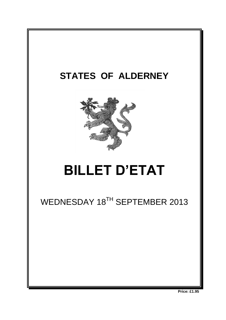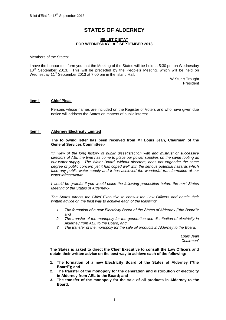# **STATES OF ALDERNEY**

# **BILLET D'ETAT FOR WEDNESDAY 18 TH SEPTEMBER 2013**

Members of the States:

I have the honour to inform you that the Meeting of the States will be held at 5:30 pm on Wednesday 18<sup>th</sup> September 2013. This will be preceded by the People's Meeting, which will be held on Wednesday 11<sup>th</sup> September 2013 at 7:00 pm in the Island Hall.

> W Stuart Trought President

#### **Item l Chief Pleas**

Persons whose names are included on the Register of Voters and who have given due notice will address the States on matters of public interest.

#### **Item Il Alderney Electricity Limited**

#### **The following letter has been received from Mr Louis Jean, Chairman of the General Services Committee:-**

*"In view of the long history of public dissatisfaction with and mistrust of successive directors of AEL the time has come to place our power supplies on the same footing as our water supply. The Water Board, without directors, does not engender the same degree of public concern yet it has coped well with the serious potential hazards which*  face any public water supply and it has achieved the wonderful transformation of our *water infrastructure.*

*I would be grateful if you would place the following proposition before the next States Meeting of the States of Alderney:-*

*The States directs the Chief Executive to consult the Law Officers and obtain their written advice on the best way to achieve each of the following:*

- *1. The formation of a new Electricity Board of the States of Alderney ("the Board"); and*
- *2. The transfer of the monopoly for the generation and distribution of electricity in Alderney from AEL to the Board; and*
- *3. The transfer of the monopoly for the sale oil products in Alderney to the Board.*

*Louis Jean Chairman"*

**The States is asked to direct the Chief Executive to consult the Law Officers and obtain their written advice on the best way to achieve each of the following:**

- **1. The formation of a new Electricity Board of the States of Alderney ("the Board"); and**
- **2. The transfer of the monopoly for the generation and distribution of electricity in Alderney from AEL to the Board; and**
- **3. The transfer of the monopoly for the sale of oil products in Alderney to the Board.**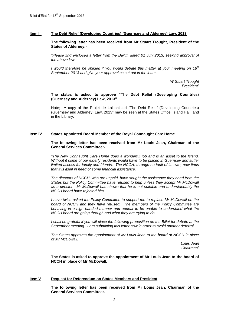#### **Item IIl The Debt Relief (Developing Countries) (Guernsey and Alderney) Law, 2013**

**The following letter has been received from Mr Stuart Trought, President of the States of Alderney:-**

*"Please find enclosed a letter from the Bailiff, dated 01 July 2013, seeking approval of the above law.*

*I would therefore be obliged if you would debate this matter at your meeting on 18th September 2013 and give your approval as set out in the letter.*

> *W Stuart Trought President"*

**The states is asked to approve "The Debt Relief (Developing Countries) (Guernsey and Alderney) Law, 2013".**

Note; A copy of the Projet de Loi entitled "The Debt Relief (Developing Countries) (Guernsey and Alderney) Law, 2013" may be seen at the States Office, Island Hall, and in the Library.

# **Item lV States Appointed Board Member of the Royal Connaught Care Home**

**The following letter has been received from Mr Louis Jean, Chairman of the General Services Committee:-**

*"The New Connaught Care Home does a wonderful job and is an asset to the Island. Without it some of our elderly residents would have to be placed in Guernsey and suffer limited access for family and friends. The NCCH, through no fault of its own, now finds that it is itself in need of some financial assistance.*

*The directors of NCCH, who are unpaid, have sought the assistance they need from the States but the Policy Committee have refused to help unless they accept Mr McDowall as a director. Mr McDowall has shown that he is not suitable and understandably the NCCH board have rejected him.*

*I have twice asked the Policy Committee to support me to replace Mr McDowall on the board of NCCH and they have refused. The members of the Policy Committee are behaving in a high handed manner and appear to be unable to understand what the NCCH board are going through and what they are trying to do.*

*I* shall be grateful if you will place the following proposition on the Billet for debate at the *September meeting. I am submitting this letter now in order to avoid another deferral.*

*The States approves the appointment of Mr Louis Jean to the board of NCCH in place of Mr McDowall.*

> *Louis Jean Chairman"*

**The States is asked to approve the appointment of Mr Louis Jean to the board of NCCH in place of Mr McDowall.**

#### **Item V Request for Referendum on States Members and President**

**The following letter has been received from Mr Louis Jean, Chairman of the General Services Committee:-**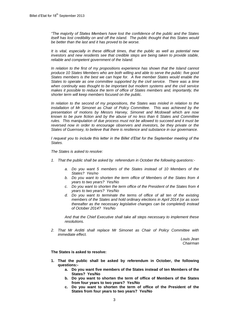*"The majority of States Members have lost the confidence of the public and the States itself has lost credibility on and off the island. The public thought that this States would be better than the last and it has proved to be worse.*

*It is vital, especially in these difficult times, that the public as well as potential new investors and new residents see that credible steps are being taken to provide stable, reliable and competent government of the Island.*

*In relation to the first of my propositions experience has shown that the Island cannot produce 10 States Members who are both willing and able to serve the public: five good States members is the best we can hope for. A five member States would enable the States to operate as one committee supported by the civil service. There was a time when continuity was thought to be important but modern systems and the civil service makes it possible to reduce the term of office of States members and, importantly, the shorter term will keep members focused on the public.*

*In relation to the second of my propositions, the States was misled in relation to the installation of Mr Simonet as Chair of Policy Committee. This was achieved by the presentation of motions by Messrs Harvey, Simonet and Mcdowall which are now known to be pure fiction and by the abuse of no less than 6 States and Committee rules. This manipulation of due process must not be allowed to succeed and it must be reversed now in order to encourage observers and investors, be they private or the States of Guernsey, to believe that there is resilience and substance in our governance.*

*I* request you to include this letter in the Billet d'Etat for the September meeting of the *States.*

*The States is asked to resolve:*

- *1. That the public shall be asked by referendum in October the following questions:*
	- *a. Do you want 5 members of the States instead of 10 Members of the States? Yes/no*
	- *b. Do you want to shorten the term office of Members of the States from 4 years to two years? Yes/No*
	- *c. Do you want to shorten the term office of the President of the States from 4 years to two years? Yes/No*
	- *d. Do you want to terminate the terms of office of all ten of the existing members of the States and hold ordinary elections in April 2014 (or as soon thereafter as the necessary legislative changes can be completed) instead of October 2014? Yes/No*

*And that the Chief Executive shall take all steps necessary to implement these resolutions.*

*2. That Mr Arditti shall replace Mr Simonet as Chair of Policy Committee with immediate effect.*

> *Louis Jean Chairman*

#### **The States is asked to resolve:**

- **1. That the public shall be asked by referendum in October, the following questions:**
	- **a. Do you want five members of the States instead of ten Members of the States? Yes/No**
	- **b. Do you want to shorten the term of office of Members of the States from four years to two years? Yes/No**
	- **c. Do you want to shorten the term of office of the President of the States from four years to two years? Yes/No**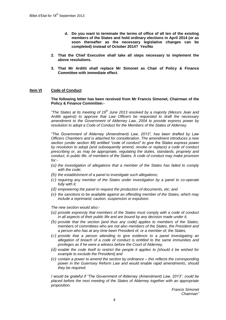- **d. Do you want to terminate the terms of office of all ten of the existing members of the States and hold ordinary elections in April 2014 (or as soon thereafter as the necessary legislative changes can be completed) instead of October 2014? Yes/No**
- **2. That the Chief Executive shall take all steps necessary to implement the above resolutions.**
- **3. That Mr Arditti shall replace Mr Simonet as Chair of Policy & Finance Committee with immediate effect.**

# **Item VI Code of Conduct**

**The following letter has been received from Mr Francis Simonet, Chairman of the Policy & Finance Committee:-**

*"The States at its meeting of 19th June 2013 resolved by a majority (Messrs Jean and Arditti against) to approve that Law Officers be requested to draft the necessary amendment to the Government of Alderney Law, 2004 to provide express power by resolution to adopt a Code of Conduct for the Members of the States of Alderney.* 

*"The Government of Alderney (Amendment) Law, 2013", has been drafted by Law Officers Chambers and is attached for consideration. The amendment introduces a new section (under section 48) entitled "code of conduct" to give the States express power by resolution to adopt (and subsequently amend, revoke or replace) a code of conduct prescribing or, as may be appropriate, regulating the duties, standards, propriety and conduct, in public life, of members of the States. A code of conduct may make provision for:-*

- *(a) the investigation of allegations that a member of the States has failed to comply with the code;*
- *(b) the establishment of a panel to investigate such allegations;*
- *(c) requiring any member of the States under investigation by a panel to co-operate fully with it;*
- *(d) empowering the panel to request the production of documents, etc; and*
- *(e) the sanctions to be available against an offending member of the States, which may include a reprimand, caution, suspension or expulsion.*

*The new section would also:-*

- *(a) provide expressly that members of the States must comply with a code of conduct in all aspects of their public life and are bound by any decision made under it,*
- *(b) provide that the section [and thus any code] applies to members of the States, members of committees who are not also members of the States, the President and a person who has at any time been President of, or a member of, the States,*
- *(c) provide that a person attending to give evidence to a panel investigating an allegation of breach of a code of conduct is entitled to the same immunities and privileges as if he were a witness before the Court of Alderney,*
- *(d) enable the code itself to restrict the people it applies to [should it be wished for example to exclude the President] and*
- *(e) contain a power to amend the section by ordinance – this reflects the corresponding power in the Guernsey Reform Law and would enable rapid amendments, should they be required.*

*I would be grateful if "The Government of Alderney (Amendment) Law, 2013", could be placed before the next meeting of the States of Alderney together with an appropriate proposition.*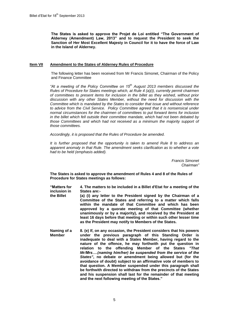**The States is asked to approve the Projet de Loi entitled "The Government of Alderney (Amendment) Law, 2013" and to request the President to seek the Sanction of Her Most Excellent Majesty in Council for it to have the force of Law in the Island of Alderney.**

### **Item VII Amendment to the States of Alderney Rules of Procedure**

The following letter has been received from Mr Francis Simonet, Chairman of the Policy and Finance Committee

*"At a meeting of the Policy Committee on 15th August 2013 members discussed the Rules of Procedure for States meetings which, at Rule 4 (a)(i), currently permit chairmen of committees to present items for inclusion in the billet as they wished, without prior discussion with any other States Member, without the need for discussion with the Committee which is mandated by the States to consider that issue and without reference to advice from the Civil Service. Policy Committee agreed that it is nonsensical under normal circumstances for the chairmen of committees to put forward items for inclusion in the billet which fell outside their committee mandate, which had not been debated by those Committees and which had not received as a minimum the majority support of those committees.* 

*Accordingly, it is proposed that the Rules of Procedure be amended.* 

*It is further proposed that the opportunity is taken to amend Rule 8 to address an apparent anomaly in that Rule. The amendment seeks clarification as to whether a vote had to be held (emphasis added).* 

> *Francis Simonet Chairman"*

**The States is asked to approve the amendment of Rules 4 and 8 of the Rules of Procedure for States meetings as follows:**

**"Matters for inclusion in 4. The matters to be included in a Billet d'Etat for a meeting of the States are:-**

- **the Billet (a) (i) any letter to the President signed by the Chairman of a Committee of the States and referring to a matter which falls within the mandate of that Committee and which has been approved by a quorate meeting of that Committee (whether unanimously or by a majority), and received by the President at least 16 days before that meeting or within such other lesser time as the President may notify to Members of the States.**
- **Naming of a Member 8. (e) If, on any occasion, the President considers that his powers under the previous paragraph of this Standing Order is inadequate to deal with a States Member, having regard to the nature of the offence, he may forthwith put the question in relation to the offending Member of the States** *"That Mr/Mrs….(naming him/her) be suspended from the service of the States"***, no debate or amendment being allowed but (for the avoidance of doubt) subject to an affirmative vote of members to that question. A Member suspended under this paragraph shall be forthwith directed to withdraw from the precincts of the States and his suspension shall last for the remainder of that meeting and the next following meeting of the States."**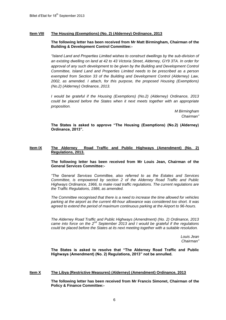# **Item VIII The Housing (Exemptions) (No. 2) (Alderney) Ordinance, 2013**

# **The following letter has been received from Mr Matt Birmingham, Chairman of the Building & Development Control Committee:-**

*"Island Land and Properties Limited wishes to construct dwellings by the sub-division of an existing dwelling on land at 42 to 43 Victoria Street, Alderney, GY9 3TA. In order for*  approval of any such development to be given by the Building and Development Control *Committee, Island Land and Properties Limited needs to be prescribed as a person exempted from Section 33 of the Building and Development Control (Alderney) Law, 2002, as amended. I attach, for this purpose, the proposed Housing (Exemptions) (No.2) (Alderney) Ordinance, 2013.*

*I would be grateful if the Housing (Exemptions) (No.2) (Alderney) Ordinance, 2013 could be placed before the States when it next meets together with an appropriate proposition.*

> *M Birmingham Chairman"*

**The States is asked to approve "The Housing (Exemptions) (No.2) (Alderney) Ordinance, 2013".** 

#### **Item IX The Alderney Road Traffic and Public Highways (Amendment) (No. 2) Regulations, 2013.**

**The following letter has been received from Mr Louis Jean, Chairman of the General Services Committee:-**

*"The General Services Committee, also referred to as the Estates and Services Committee, is empowered by section 2 of the Alderney Road Traffic and Public Highways Ordinance, 1966, to make road traffic regulations. The current regulations are the Traffic Regulations, 1986, as amended.* 

*The Committee recognised that there is a need to increase the time allowed for vehicles parking at the airport as the current 48-hour allowance was considered too short. It was agreed to extend the period of maximum continuous parking at the Airport to 96-hours.*

*The Alderney Road Traffic and Public Highways (Amendment) (No. 2) Ordinance, 2013 came into force on the 2nd September 2013 and I would be grateful if the regulations could be placed before the States at its next meeting together with a suitable resolution.*

> *Louis Jean Chairman"*

**The States is asked to resolve that "The Alderney Road Traffic and Public Highways (Amendment) (No. 2) Regulations, 2013" not be annulled.**

#### **Item X The Libya (Restrictive Measures) (Alderney) (Amendment) Ordinance, 2013**

**The following letter has been received from Mr Francis Simonet, Chairman of the Policy & Finance Committee:-**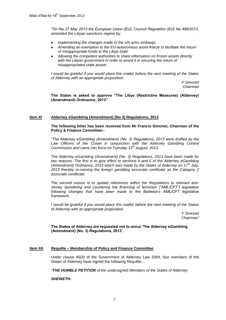*"On the 27 May 2013 the European Union (EU), Council Regulation (EU) No 488/2013, amended the Libyan sanctions regime by:*

- *Implementing the changes made to the UN arms embargo*
- *Amending an exemption to the EU-autonomous asset-freeze to facilitate the return of misappropriate funds to the Libya State*
- *Allowing the competent authorities to share information on frozen assets directly with the Libyan government in order to assist it in securing the return of misappropriated state assets*

*I would be grateful if you would place this matter before the next meeting of the States of Alderney with an appropriate proposition.*

> *F Simonet Chairman*

**The States is asked to approve "The Libya (Restrictive Measures) (Alderney) (Amendment) Ordinance, 2013"**

# **Item XI Alderney eGambling (Amendment) (No 3) Regulations, 2013**

#### **The following letter has been received from Mr Francis Simonet, Chairman of the Policy & Finance Committee:-**

*"The Alderney eGambling (Amendment) (No. 3) Regulations, 2013 were drafted by the*  Law Officers of the Crown in conjunction with the Alderney Gambling Control *Commission and came into force on Tuesday 13th August, 2013.*

*The Alderney eGambling (Amendment) (No. 3) Regulations, 2013 have been made for two reasons. The first is to give effect to sections 4 and 5 of the Alderney eGambling (Amendment) Ordinance, 2013 which was made by the States of Alderney on 17th July, 2013 thereby re-naming the foreign gambling associate certificate as the Category 2 associate certificate.*

*The second reason is to update references within the Regulations to relevant antimoney laundering and countering the financing of terrorism ("AML/CFT") legislation*  following changes that have been made to the Bailiwick's AML/CFT legislative *framework.*

*I would be grateful if you would place this matter before the next meeting of the States of Alderney with an appropriate proposition.*

> *F Simonet Chairman"*

**The States of Alderney are requested not to annul 'The Alderney eGambling (Amendment) (No. 3) Regulations, 2013'.**

# **Item XII Requête – Membership of Policy and Finance Committee**

Under clause 45(4) of the Government of Alderney Law 2004, four members of the States of Alderney have signed the following Requête:-

*"THE HUMBLE PETITION of the undersigned Members of the States of Alderney* 

*SHEWETH:*